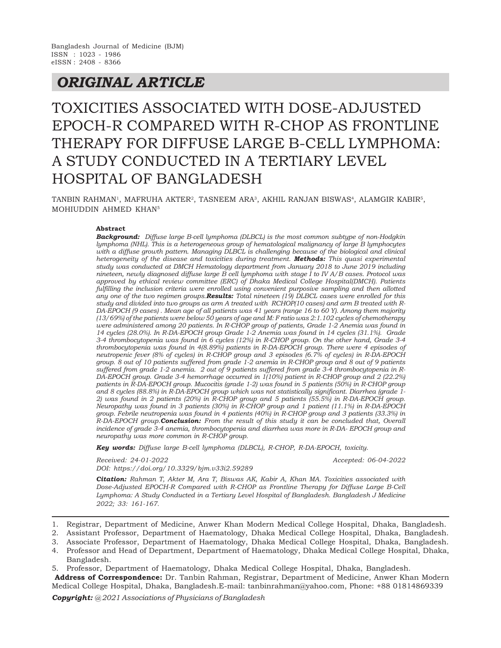## *ORIGINAL ARTICLE*

# TOXICITIES ASSOCIATED WITH DOSE-ADJUSTED EPOCH-R COMPARED WITH R-CHOP AS FRONTLINE THERAPY FOR DIFFUSE LARGE B-CELL LYMPHOMA: A STUDY CONDUCTED IN A TERTIARY LEVEL HOSPITAL OF BANGLADESH

TANBIN RAHMAN<sup>1</sup>, MAFRUHA AKTER<sup>2</sup>, TASNEEM ARA<sup>3</sup>, AKHIL RANJAN BISWAS<sup>4</sup>, ALAMGIR KABIR<sup>5</sup>, MOHIUDDIN AHMED KHAN<sup>5</sup>

## **Abstract**

*Background: Diffuse large B-cell lymphoma (DLBCL) is the most common subtype of non-Hodgkin lymphoma (NHL). This is a heterogeneous group of hematological malignancy of large B lymphocytes with a diffuse growth pattern. Managing DLBCL is challenging because of the biological and clinical heterogeneity of the disease and toxicities during treatment. Methods: This quasi experimental study was conducted at DMCH Hematology department from January 2018 to June 2019 including nineteen, newly diagnosed diffuse large B cell lymphoma with stage I to IV A/B cases. Protocol was approved by ethical review committee (ERC) of Dhaka Medical College Hospital(DMCH). Patients fulfilling the inclusion criteria were enrolled using convenient purposive sampling and then allotted any one of the two regimen groups.Results: Total nineteen (19) DLBCL cases were enrolled for this study and divided into two groups as arm A treated with RCHOP(10 cases) and arm B treated with R-DA-EPOCH (9 cases) . Mean age of all patients was 41 years (range 16 to 60 Y). Among them majority (13/69%) of the patients were below 50 years of age and M: F ratio was 2:1.102 cycles of chemotherapy were administered among 20 patients. In R-CHOP group of patients, Grade 1-2 Anemia was found in 14 cycles (28.0%). In R-DA-EPOCH group Grade 1-2 Anemia was found in 14 cycles (31.1%). Grade 3-4 thrombocytopenia was found in 6 cycles (12%) in R-CHOP group. On the other hand, Grade 3-4 thrombocytopenia was found in 4(8.89%) patients in R-DA-EPOCH group. There were 4 episodes of neutropenic fever (8% of cycles) in R-CHOP group and 3 episodes (6.7% of cycles) in R-DA-EPOCH group. 8 out of 10 patients suffered from grade 1-2 anemia in R-CHOP group and 8 out of 9 patients suffered from grade 1-2 anemia. 2 out of 9 patients suffered from grade 3-4 thrombocytopenia in R-DA-EPOCH group. Grade 3-4 hemorrhage occurred in 1(10%) patient in R-CHOP group and 2 (22.2%) patients in R-DA-EPOCH group. Mucocitis (grade 1-2) was found in 5 patients (50%) in R-CHOP group and 8 cycles (88.8%) in R-DA-EPOCH group which was not statistically significant. Diarrhea (grade 1- 2) was found in 2 patients (20%) in R-CHOP group and 5 patients (55.5%) in R-DA-EPOCH group. Neuropathy was found in 3 patients (30%) in R-CHOP group and 1 patient (11.1%) in R-DA-EPOCH group. Febrile neutropenia was found in 4 patients (40%) in R-CHOP group and 3 patients (33.3%) in R-DA-EPOCH group.Conclusion: From the result of this study it can be concluded that, Overall incidence of grade 3-4 anemia, thrombocytopenia and diarrhea was more in R-DA- EPOCH group and neuropathy was more common in R-CHOP group.*

*Key words: Diffuse large B-cell lymphoma (DLBCL), R-CHOP, R-DA-EPOCH, toxicity.*

*Received: 24-01-2022 Accepted: 06-04-2022 DOI: https://doi.org/10.3329/bjm.v33i2.59289*

*Citation: Rahman T, Akter M, Ara T, Biswas AK, Kabir A, Khan MA. Toxicities associated with Dose-Adjusted EPOCH-R Compared with R-CHOP as Frontline Therapy for Diffuse Large B-Cell Lymphoma: A Study Conducted in a Tertiary Level Hospital of Bangladesh. Bangladesh J Medicine 2022; 33: 161-167.*

- 1. Registrar, Department of Medicine, Anwer Khan Modern Medical College Hospital, Dhaka, Bangladesh.
- 2. Assistant Professor, Department of Haematology, Dhaka Medical College Hospital, Dhaka, Bangladesh.
- 3. Associate Professor, Department of Haematology, Dhaka Medical College Hospital, Dhaka, Bangladesh.
- 4. Professor and Head of Department, Department of Haematology, Dhaka Medical College Hospital, Dhaka, Bangladesh.

5. Professor, Department of Haematology, Dhaka Medical College Hospital, Dhaka, Bangladesh.

 **Address of Correspondence:** Dr. Tanbin Rahman, Registrar, Department of Medicine, Anwer Khan Modern Medical College Hospital, Dhaka, Bangladesh.E-mail: tanbinrahman@yahoo.com, Phone: +88 01814869339

*Copyright: @ 2021 Associations of Physicians of Bangladesh*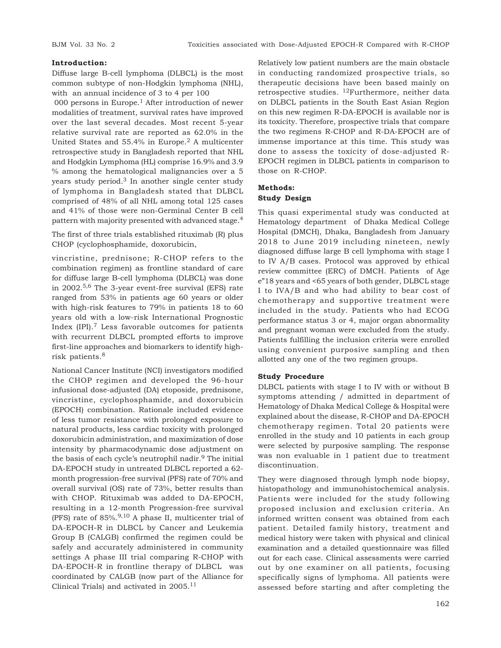## **Introduction:**

Diffuse large B-cell lymphoma (DLBCL) is the most common subtype of non-Hodgkin lymphoma (NHL), with an annual incidence of 3 to 4 per 100

000 persons in Europe.<sup>1</sup> After introduction of newer modalities of treatment, survival rates have improved over the last several decades. Most recent 5-year relative survival rate are reported as 62.0% in the United States and  $55.4\%$  in Europe.<sup>2</sup> A multicenter retrospective study in Bangladesh reported that NHL and Hodgkin Lymphoma (HL) comprise 16.9% and 3.9 % among the hematological malignancies over a 5 years study period. $3$  In another single center study of lymphoma in Bangladesh stated that DLBCL comprised of 48% of all NHL among total 125 cases and 41% of those were non-Germinal Center B cell pattern with majority presented with advanced stage.<sup>4</sup>

The first of three trials established rituximab (R) plus CHOP (cyclophosphamide, doxorubicin,

vincristine, prednisone; R-CHOP refers to the combination regimen) as frontline standard of care for diffuse large B-cell lymphoma (DLBCL) was done in 2002.5,6 The 3-year event-free survival (EFS) rate ranged from 53% in patients age 60 years or older with high-risk features to 79% in patients 18 to 60 years old with a low-risk International Prognostic Index  $[IPI]$ .<sup>7</sup> Less favorable outcomes for patients with recurrent DLBCL prompted efforts to improve first-line approaches and biomarkers to identify highrisk patients.<sup>8</sup>

National Cancer Institute (NCI) investigators modified the CHOP regimen and developed the 96-hour infusional dose-adjusted (DA) etoposide, prednisone, vincristine, cyclophosphamide, and doxorubicin (EPOCH) combination. Rationale included evidence of less tumor resistance with prolonged exposure to natural products, less cardiac toxicity with prolonged doxorubicin administration, and maximization of dose intensity by pharmacodynamic dose adjustment on the basis of each cycle's neutrophil nadir.<sup>9</sup> The initial DA-EPOCH study in untreated DLBCL reported a 62 month progression-free survival (PFS) rate of 70% and overall survival (OS) rate of 73%, better results than with CHOP. Rituximab was added to DA-EPOCH, resulting in a 12-month Progression-free survival (PFS) rate of 85%.9,10 A phase II, multicenter trial of DA-EPOCH-R in DLBCL by Cancer and Leukemia Group B (CALGB) confirmed the regimen could be safely and accurately administered in community settings A phase III trial comparing R-CHOP with DA-EPOCH-R in frontline therapy of DLBCL was coordinated by CALGB (now part of the Alliance for Clinical Trials) and activated in 2005.<sup>11</sup>

Relatively low patient numbers are the main obstacle in conducting randomized prospective trials, so therapeutic decisions have been based mainly on retrospective studies. 12Furthermore, neither data on DLBCL patients in the South East Asian Region on this new regimen R-DA-EPOCH is available nor is its toxicity. Therefore, prospective trials that compare the two regimens R-CHOP and R-DA-EPOCH are of immense importance at this time. This study was done to assess the toxicity of dose-adjusted R-EPOCH regimen in DLBCL patients in comparison to those on R-CHOP.

## **Methods: Study Design**

This quasi experimental study was conducted at Hematology department of Dhaka Medical College Hospital (DMCH), Dhaka, Bangladesh from January 2018 to June 2019 including nineteen, newly diagnosed diffuse large B cell lymphoma with stage I to IV A/B cases. Protocol was approved by ethical review committee (ERC) of DMCH. Patients of Age e"18 years and <65 years of both gender, DLBCL stage I to IVA/B and who had ability to bear cost of chemotherapy and supportive treatment were included in the study. Patients who had ECOG performance status 3 or 4, major organ abnormality and pregnant woman were excluded from the study. Patients fulfilling the inclusion criteria were enrolled using convenient purposive sampling and then allotted any one of the two regimen groups.

## **Study Procedure**

DLBCL patients with stage I to IV with or without B symptoms attending / admitted in department of Hematology of Dhaka Medical College & Hospital were explained about the disease, R-CHOP and DA-EPOCH chemotherapy regimen. Total 20 patients were enrolled in the study and 10 patients in each group were selected by purposive sampling. The response was non evaluable in 1 patient due to treatment discontinuation.

They were diagnosed through lymph node biopsy, histopathology and immunohistochemical analysis. Patients were included for the study following proposed inclusion and exclusion criteria. An informed written consent was obtained from each patient. Detailed family history, treatment and medical history were taken with physical and clinical examination and a detailed questionnaire was filled out for each case. Clinical assessments were carried out by one examiner on all patients, focusing specifically signs of lymphoma. All patients were assessed before starting and after completing the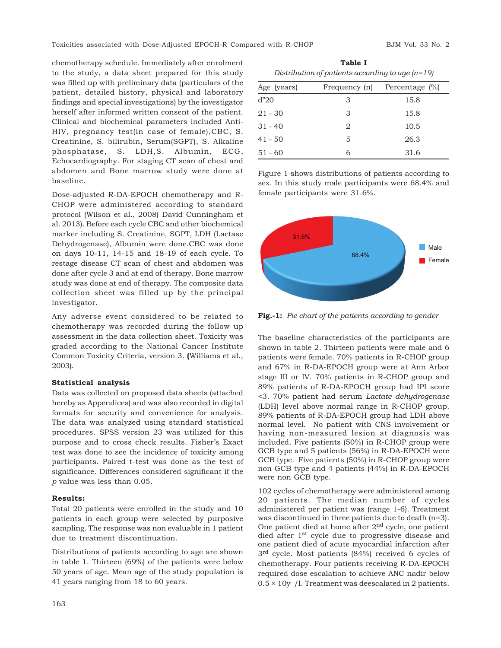chemotherapy schedule. Immediately after enrolment to the study, a data sheet prepared for this study was filled up with preliminary data (particulars of the patient, detailed history, physical and laboratory findings and special investigations) by the investigator herself after informed written consent of the patient. Clinical and biochemical parameters included Anti-HIV, pregnancy test(in case of female),CBC, S. Creatinine, S. bilirubin, Serum(SGPT), S. Alkaline phosphatase, S. LDH,S. Albumin, ECG, Echocardiography. For staging CT scan of chest and abdomen and Bone marrow study were done at baseline.

Dose-adjusted R-DA-EPOCH chemotherapy and R-CHOP were administered according to standard protocol (Wilson et al., 2008) David Cunningham et al. 2013). Before each cycle CBC and other biochemical marker including S. Creatinine, SGPT, LDH (Lactase Dehydrogenase), Albumin were done.CBC was done on days 10-11, 14-15 and 18-19 of each cycle. To restage disease CT scan of chest and abdomen was done after cycle 3 and at end of therapy. Bone marrow study was done at end of therapy. The composite data collection sheet was filled up by the principal investigator.

Any adverse event considered to be related to chemotherapy was recorded during the follow up assessment in the data collection sheet. Toxicity was graded according to the National Cancer Institute Common Toxicity Criteria, version 3. **(**Williams et al., 2003).

#### **Statistical analysis**

Data was collected on proposed data sheets (attached hereby as Appendices) and was also recorded in digital formats for security and convenience for analysis. The data was analyzed using standard statistical procedures. SPSS version 23 was utilized for this purpose and to cross check results. Fisher's Exact test was done to see the incidence of toxicity among participants. Paired t-test was done as the test of significance. Differences considered significant if the *p* value was less than 0.05.

#### **Results:**

Total 20 patients were enrolled in the study and 10 patients in each group were selected by purposive sampling. The response was non evaluable in 1 patient due to treatment discontinuation.

Distributions of patients according to age are shown in table 1. Thirteen (69%) of the patients were below 50 years of age. Mean age of the study population is 41 years ranging from 18 to 60 years.

**Table I** *Distribution of patients according to age (n=19)*

| Age (years) |   | Frequency $(n)$ Percentage $(\%)$ |
|-------------|---|-----------------------------------|
| ď"20        | 3 | 15.8                              |
| 21 - 30     | 3 | 15.8                              |
| 31 - 40     | 2 | 10.5                              |
| 41 - 50     | 5 | 26.3                              |
| 51 - 60     | 6 | 31.6                              |
|             |   |                                   |

Figure 1 shows distributions of patients according to sex. In this study male participants were 68.4% and female participants were 31.6%.



**Fig.-1:** *Pie chart of the patients according to gender*

The baseline characteristics of the participants are shown in table 2. Thirteen patients were male and 6 patients were female. 70% patients in R-CHOP group and 67% in R-DA-EPOCH group were at Ann Arbor stage III or IV. 70% patients in R-CHOP group and 89% patients of R-DA-EPOCH group had IPI score <3. 70% patient had serum *Lactate dehydrogenase* (LDH) level above normal range in R-CHOP group. 89% patients of R-DA-EPOCH group had LDH above normal level. No patient with CNS involvement or having non-measured lesion at diagnosis was included. Five patients (50%) in R-CHOP group were GCB type and 5 patients (56%) in R-DA-EPOCH were GCB type. Five patients (50%) in R-CHOP group were non GCB type and 4 patients (44%) in R-DA-EPOCH were non GCB type.

102 cycles of chemotherapy were administered among 20 patients. The median number of cycles administered per patient was (range 1-6). Treatment was discontinued in three patients due to death (n=3). One patient died at home after 2nd cycle, one patient died after 1st cycle due to progressive disease and one patient died of acute myocardial infarction after 3 rd cycle. Most patients (84%) received 6 cycles of chemotherapy. Four patients receiving R-DA-EPOCH required dose escalation to achieve ANC nadir below  $0.5 \times 10$ y /l. Treatment was deescalated in 2 patients.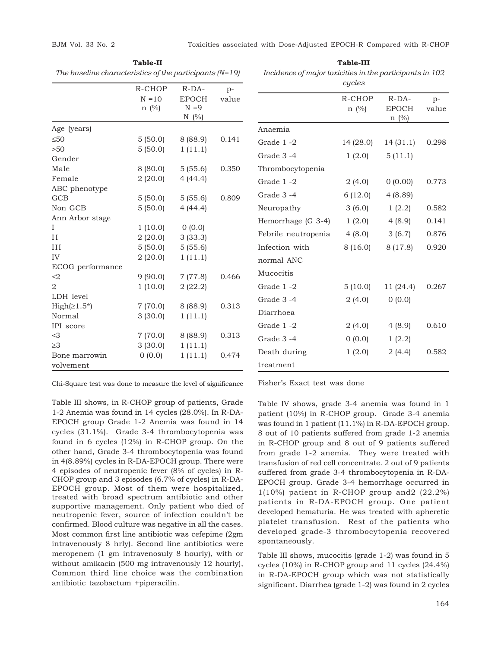| The baseline characteristics of the participants (N=19) |            |              |       |  |  |
|---------------------------------------------------------|------------|--------------|-------|--|--|
|                                                         | R-CHOP     | $R-DA-$      | $p-$  |  |  |
|                                                         | $N = 10$   | <b>EPOCH</b> | value |  |  |
|                                                         | $n \ (\%)$ | $N = 9$      |       |  |  |
|                                                         |            | N $(\%)$     |       |  |  |
| Age (years)                                             |            |              |       |  |  |
| $\leq 50$                                               | 5(50.0)    | 8(88.9)      | 0.141 |  |  |
| >50                                                     | 5(50.0)    | 1(11.1)      |       |  |  |
| Gender                                                  |            |              |       |  |  |
| Male                                                    | 8 (80.0)   | 5(55.6)      | 0.350 |  |  |
| Female                                                  | 2(20.0)    | 4(44.4)      |       |  |  |
| ABC phenotype                                           |            |              |       |  |  |
| GCB                                                     | 5(50.0)    | 5(55.6)      | 0.809 |  |  |
| Non GCB                                                 | 5(50.0)    | 4(44.4)      |       |  |  |
| Ann Arbor stage                                         |            |              |       |  |  |
| I                                                       | 1(10.0)    | 0(0.0)       |       |  |  |
| $_{II}$                                                 | 2(20.0)    | 3(33.3)      |       |  |  |
| III                                                     | 5(50.0)    | 5(55.6)      |       |  |  |
| IV                                                      | 2(20.0)    | 1(11.1)      |       |  |  |
| ECOG performance                                        |            |              |       |  |  |
| $2$                                                     | 9(90.0)    | 7(77.8)      | 0.466 |  |  |
| 2                                                       | 1(10.0)    | 2(22.2)      |       |  |  |
| LDH level                                               |            |              |       |  |  |
| $High(≥1.5*)$                                           | 7(70.0)    | 8(88.9)      | 0.313 |  |  |
| Normal                                                  | 3(30.0)    | 1(11.1)      |       |  |  |
| IPI score                                               |            |              |       |  |  |
| $<$ 3                                                   | 7(70.0)    | 8(88.9)      | 0.313 |  |  |
| $\geq$ 3                                                | 3(30.0)    | 1(11.1)      |       |  |  |
| Bone marrowin                                           | (0.0)      | 1(11.1)      | 0.474 |  |  |
| volvement                                               |            |              |       |  |  |

**Table-II** *The baseline characteristics of the participants (N=19)*

**Table-III** *Incidence of major toxicities in the participants in 102*

|                     | cycles               |                                  |               |
|---------------------|----------------------|----------------------------------|---------------|
|                     | R-CHOP<br>$n \ (\%)$ | $R-DA-$<br><b>EPOCH</b><br>n (%) | $p-$<br>value |
| Anaemia             |                      |                                  |               |
| Grade 1-2           | 14 (28.0)            | 14 (31.1)                        | 0.298         |
| Grade 3-4           | 1(2.0)               | 5(11.1)                          |               |
| Thrombocytopenia    |                      |                                  |               |
| Grade 1-2           | 2(4.0)               | 0(0.00)                          | 0.773         |
| Grade 3-4           | 6 (12.0)             | 4(8.89)                          |               |
| Neuropathy          | 3(6.0)               | 1(2.2)                           | 0.582         |
| Hemorrhage (G 3-4)  | 1(2.0)               | 4(8.9)                           | 0.141         |
| Febrile neutropenia | 4(8.0)               | 3(6.7)                           | 0.876         |
| Infection with      | 8(16.0)              | 8(17.8)                          | 0.920         |
| normal ANC          |                      |                                  |               |
| Mucocitis           |                      |                                  |               |
| Grade 1-2           | 5(10.0)              | 11(24.4)                         | 0.267         |
| Grade 3-4           | 2(4.0)               | 0(0.0)                           |               |
| Diarrhoea           |                      |                                  |               |
| Grade 1-2           | 2(4.0)               | 4(8.9)                           | 0.610         |
| Grade 3-4           | 0(0.0)               | 1(2.2)                           |               |
| Death during        | 1(2.0)               | 2(4.4)                           | 0.582         |
| treatment           |                      |                                  |               |

Chi-Square test was done to measure the level of significance

Table III shows, in R-CHOP group of patients, Grade 1-2 Anemia was found in 14 cycles (28.0%). In R-DA-EPOCH group Grade 1-2 Anemia was found in 14 cycles (31.1%). Grade 3-4 thrombocytopenia was found in 6 cycles (12%) in R-CHOP group. On the other hand, Grade 3-4 thrombocytopenia was found in 4(8.89%) cycles in R-DA-EPOCH group. There were 4 episodes of neutropenic fever (8% of cycles) in R-CHOP group and 3 episodes (6.7% of cycles) in R-DA-EPOCH group. Most of them were hospitalized, treated with broad spectrum antibiotic and other supportive management. Only patient who died of neutropenic fever, source of infection couldn't be confirmed. Blood culture was negative in all the cases. Most common first line antibiotic was cefepime (2gm intravenously 8 hrly). Second line antibiotics were meropenem (1 gm intravenosuly 8 hourly), with or without amikacin (500 mg intravenously 12 hourly), Common third line choice was the combination antibiotic tazobactum +piperacilin.

Fisher's Exact test was done

Table IV shows, grade 3-4 anemia was found in 1 patient (10%) in R-CHOP group. Grade 3-4 anemia was found in 1 patient (11.1%) in R-DA-EPOCH group. 8 out of 10 patients suffered from grade 1-2 anemia in R-CHOP group and 8 out of 9 patients suffered from grade 1-2 anemia. They were treated with transfusion of red cell concentrate. 2 out of 9 patients suffered from grade 3-4 thrombocytopenia in R-DA-EPOCH group. Grade 3-4 hemorrhage occurred in 1(10%) patient in R-CHOP group and2 (22.2%) patients in R-DA-EPOCH group. One patient developed hematuria. He was treated with apheretic platelet transfusion. Rest of the patients who developed grade-3 thrombocytopenia recovered spontaneously.

Table III shows, mucocitis (grade 1-2) was found in 5 cycles (10%) in R-CHOP group and 11 cycles (24.4%) in R-DA-EPOCH group which was not statistically significant. Diarrhea (grade 1-2) was found in 2 cycles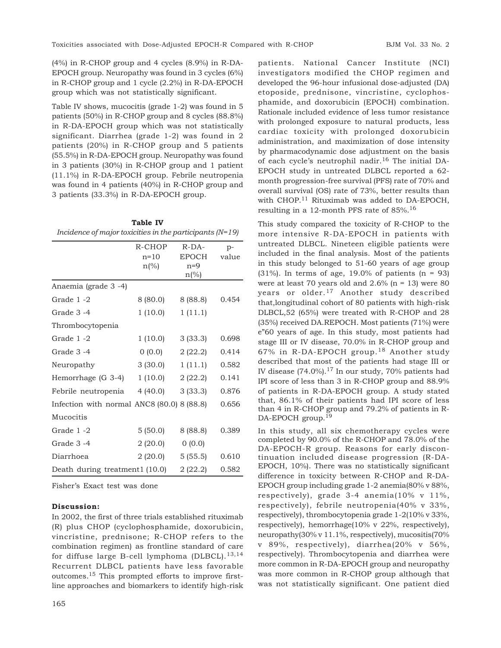(4%) in R-CHOP group and 4 cycles (8.9%) in R-DA-EPOCH group. Neuropathy was found in 3 cycles (6%) in R-CHOP group and 1 cycle (2.2%) in R-DA-EPOCH group which was not statistically significant.

Table IV shows, mucocitis (grade 1-2) was found in 5 patients (50%) in R-CHOP group and 8 cycles (88.8%) in R-DA-EPOCH group which was not statistically significant. Diarrhea (grade 1-2) was found in 2 patients (20%) in R-CHOP group and 5 patients (55.5%) in R-DA-EPOCH group. Neuropathy was found in 3 patients (30%) in R-CHOP group and 1 patient (11.1%) in R-DA-EPOCH group. Febrile neutropenia was found in 4 patients (40%) in R-CHOP group and 3 patients (33.3%) in R-DA-EPOCH group.

| <b>Table IV</b>                                            |                |                         |       |  |  |  |  |
|------------------------------------------------------------|----------------|-------------------------|-------|--|--|--|--|
| Incidence of major toxicities in the participants $(N=19)$ |                |                         |       |  |  |  |  |
|                                                            | R-CHOP         | $R-DA-$                 | $p-$  |  |  |  |  |
|                                                            | $n = 10$       | <b>EPOCH</b>            | value |  |  |  |  |
|                                                            | $n\frac{6}{6}$ | $n=9$<br>$n\frac{6}{6}$ |       |  |  |  |  |
| Anaemia (grade 3 -4)                                       |                |                         |       |  |  |  |  |
| Grade 1-2                                                  | 8 (80.0)       | 8 (88.8)                | 0.454 |  |  |  |  |
| Grade 3-4                                                  | 1(10.0)        | 1(11.1)                 |       |  |  |  |  |
| Thrombocytopenia                                           |                |                         |       |  |  |  |  |
| Grade 1-2                                                  | 1(10.0)        | 3(33.3)                 | 0.698 |  |  |  |  |
| Grade 3-4                                                  | (0.0)          | 2(22.2)                 | 0.414 |  |  |  |  |
| Neuropathy                                                 | 3(30.0)        | 1(11.1)                 | 0.582 |  |  |  |  |
| Hemorrhage (G 3-4)                                         | 1(10.0)        | 2(22.2)                 | 0.141 |  |  |  |  |
| Febrile neutropenia                                        | 4(40.0)        | 3(33.3)                 | 0.876 |  |  |  |  |
| Infection with normal ANC8 (80.0) 8 (88.8)                 |                |                         | 0.656 |  |  |  |  |
| Mucocitis                                                  |                |                         |       |  |  |  |  |
| Grade 1-2                                                  | 5(50.0)        | 8 (88.8)                | 0.389 |  |  |  |  |
| Grade 3-4                                                  | 2(20.0)        | 0(0.0)                  |       |  |  |  |  |
| Diarrhoea                                                  | 2(20.0)        | 5(55.5)                 | 0.610 |  |  |  |  |
| Death during treatment1 (10.0)                             |                | 2(22.2)                 | 0.582 |  |  |  |  |

Fisher's Exact test was done

#### **Discussion:**

In 2002, the first of three trials established rituximab (R) plus CHOP (cyclophosphamide, doxorubicin, vincristine, prednisone; R-CHOP refers to the combination regimen) as frontline standard of care for diffuse large B-cell lymphoma (DLBCL).13,14 Recurrent DLBCL patients have less favorable outcomes.15 This prompted efforts to improve firstline approaches and biomarkers to identify high-risk

patients. National Cancer Institute (NCI) investigators modified the CHOP regimen and developed the 96-hour infusional dose-adjusted (DA) etoposide, prednisone, vincristine, cyclophosphamide, and doxorubicin (EPOCH) combination. Rationale included evidence of less tumor resistance with prolonged exposure to natural products, less cardiac toxicity with prolonged doxorubicin administration, and maximization of dose intensity by pharmacodynamic dose adjustment on the basis of each cycle's neutrophil nadir.<sup>16</sup> The initial DA-EPOCH study in untreated DLBCL reported a 62 month progression-free survival (PFS) rate of 70% and overall survival (OS) rate of 73%, better results than with CHOP.<sup>11</sup> Rituximab was added to DA-EPOCH, resulting in a 12-month PFS rate of 85%.<sup>16</sup>

This study compared the toxicity of R-CHOP to the more intensive R-DA-EPOCH in patients with untreated DLBCL. Nineteen eligible patients were included in the final analysis. Most of the patients in this study belonged to 51-60 years of age group  $(31\%)$ . In terms of age, 19.0% of patients  $(n = 93)$ were at least 70 years old and  $2.6\%$  (n = 13) were 80 years or older.<sup>17</sup> Another study described that,longitudinal cohort of 80 patients with high-risk DLBCL,52 (65%) were treated with R-CHOP and 28 (35%) received DA.REPOCH. Most patients (71%) were e"60 years of age. In this study, most patients had stage III or IV disease, 70.0% in R-CHOP group and 67% in R-DA-EPOCH group.18 Another study described that most of the patients had stage III or IV disease  $(74.0\%)$ .<sup>17</sup> In our study, 70% patients had IPI score of less than 3 in R-CHOP group and 88.9% of patients in R-DA-EPOCH group. A study stated that, 86.1% of their patients had IPI score of less than 4 in R-CHOP group and 79.2% of patients in R-DA-EPOCH group.<sup>19</sup>

In this study, all six chemotherapy cycles were completed by 90.0% of the R-CHOP and 78.0% of the DA-EPOCH-R group. Reasons for early discontinuation included disease progression (R-DA-EPOCH, 10%). There was no statistically significant difference in toxicity between R-CHOP and R-DA-EPOCH group including grade 1-2 anemia(80% v 88%, respectively), grade 3-4 anemia(10% v 11%, respectively), febrile neutropenia(40% v 33%, respectively), thrombocytopenia grade 1-2(10% v 33%, respectively), hemorrhage(10% v 22%, respectively), neuropathy(30% v 11.1%, respectively), mucositis(70% v 89%, respectively), diarrhea(20% v 56%, respectively). Thrombocytopenia and diarrhea were more common in R-DA-EPOCH group and neuropathy was more common in R-CHOP group although that was not statistically significant. One patient died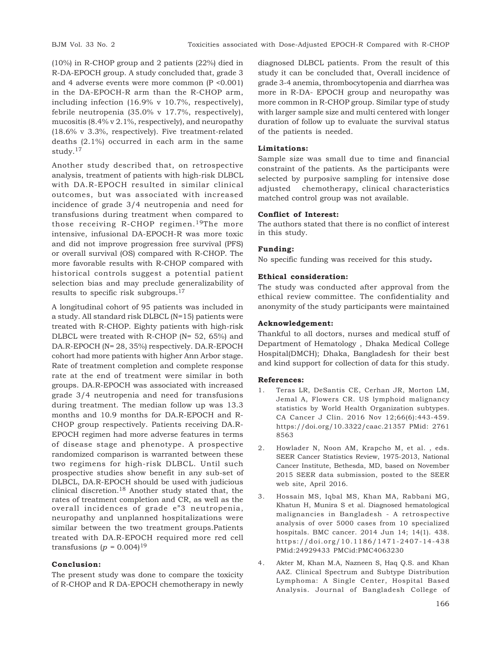(10%) in R-CHOP group and 2 patients (22%) died in R-DA-EPOCH group. A study concluded that, grade 3 and 4 adverse events were more common (P <0.001) in the DA-EPOCH-R arm than the R-CHOP arm, including infection (16.9% v 10.7%, respectively), febrile neutropenia (35.0% v 17.7%, respectively), mucositis (8.4% v 2.1%, respectively), and neuropathy (18.6% v 3.3%, respectively). Five treatment-related deaths (2.1%) occurred in each arm in the same study.<sup>17</sup>

Another study described that, on retrospective analysis, treatment of patients with high-risk DLBCL with DA.R-EPOCH resulted in similar clinical outcomes, but was associated with increased incidence of grade 3/4 neutropenia and need for transfusions during treatment when compared to those receiving R-CHOP regimen.<sup>19</sup>The more intensive, infusional DA-EPOCH-R was more toxic and did not improve progression free survival (PFS) or overall survival (OS) compared with R-CHOP. The more favorable results with R-CHOP compared with historical controls suggest a potential patient selection bias and may preclude generalizability of results to specific risk subgroups.<sup>17</sup>

A longitudinal cohort of 95 patients was included in a study. All standard risk DLBCL (N=15) patients were treated with R-CHOP. Eighty patients with high-risk DLBCL were treated with R-CHOP (N= 52, 65%) and DA.R-EPOCH (N= 28, 35%) respectively. DA.R-EPOCH cohort had more patients with higher Ann Arbor stage. Rate of treatment completion and complete response rate at the end of treatment were similar in both groups. DA.R-EPOCH was associated with increased grade 3/4 neutropenia and need for transfusions during treatment. The median follow up was 13.3 months and 10.9 months for DA.R-EPOCH and R-CHOP group respectively. Patients receiving DA.R-EPOCH regimen had more adverse features in terms of disease stage and phenotype. A prospective randomized comparison is warranted between these two regimens for high-risk DLBCL. Until such prospective studies show benefit in any sub-set of DLBCL, DA.R-EPOCH should be used with judicious clinical discretion.18 Another study stated that, the rates of treatment completion and CR, as well as the overall incidences of grade e"3 neutropenia, neuropathy and unplanned hospitalizations were similar between the two treatment groups.Patients treated with DA.R-EPOCH required more red cell transfusions ( $p = 0.004$ )<sup>19</sup>

## **Conclusion:**

The present study was done to compare the toxicity of R-CHOP and R DA-EPOCH chemotherapy in newly

diagnosed DLBCL patients. From the result of this study it can be concluded that, Overall incidence of grade 3-4 anemia, thrombocytopenia and diarrhea was more in R-DA- EPOCH group and neuropathy was more common in R-CHOP group. Similar type of study with larger sample size and multi centered with longer duration of follow up to evaluate the survival status of the patients is needed.

## **Limitations:**

Sample size was small due to time and financial constraint of the patients. As the participants were selected by purposive sampling for intensive dose adjusted chemotherapy, clinical characteristics matched control group was not available.

### **Conflict of Interest:**

The authors stated that there is no conflict of interest in this study.

#### **Funding:**

No specific funding was received for this study**.**

#### **Ethical consideration:**

The study was conducted after approval from the ethical review committee. The confidentiality and anonymity of the study participants were maintained

#### **Acknowledgement:**

Thankful to all doctors, nurses and medical stuff of Department of Hematology , Dhaka Medical College Hospital(DMCH); Dhaka, Bangladesh for their best and kind support for collection of data for this study.

#### **References:**

- 1. Teras LR, DeSantis CE, Cerhan JR, Morton LM, Jemal A, Flowers CR. US lymphoid malignancy statistics by World Health Organization subtypes. CA Cancer J Clin. 2016 Nov 12;66(6):443-459. https://doi.org/10.3322/caac.21357 PMid: 2761 8563
- 2. Howlader N, Noon AM, Krapcho M, et al. , eds. SEER Cancer Statistics Review, 1975-2013, National Cancer Institute, Bethesda, MD, based on November 2015 SEER data submission, posted to the SEER web site, April 2016.
- 3. Hossain MS, Iqbal MS, Khan MA, Rabbani MG, Khatun H, Munira S et al. Diagnosed hematological malignancies in Bangladesh - A retrospective analysis of over 5000 cases from 10 specialized hospitals. BMC cancer. 2014 Jun 14; 14(1). 438. https://doi.org/10.1186/1471-2407-14-438 PMid:24929433 PMCid:PMC4063230
- 4. Akter M, Khan M.A, Nazneen S, Haq Q.S. and Khan AAZ. Clinical Spectrum and Subtype Distribution Lymphoma: A Single Center, Hospital Based Analysis. Journal of Bangladesh College of